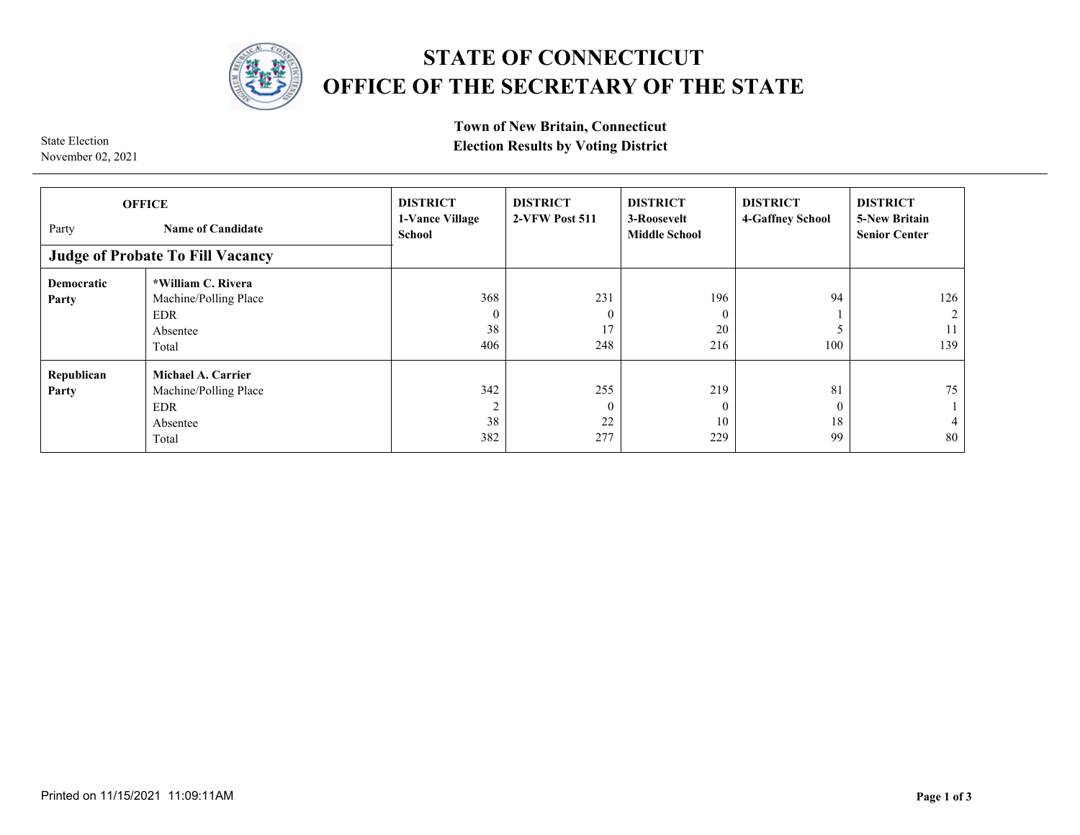

## **STATE OF CONNECTICUT OFFICE OF THE SECRETARY OF THE STATE**

**Town of New Britain, Connecticut** 

**Election Election Election Results by Voting District** 

| <b>OFFICE</b><br>Party<br><b>Name of Candidate</b><br><b>Judge of Probate To Fill Vacancy</b> |                                                                                | <b>DISTRICT</b><br>1-Vance Village<br>School | <b>DISTRICT</b><br>2-VFW Post 511    | <b>DISTRICT</b><br>3-Roosevelt<br><b>Middle School</b> | <b>DISTRICT</b><br>4-Gaffney School | <b>DISTRICT</b><br><b>5-New Britain</b><br><b>Senior Center</b> |
|-----------------------------------------------------------------------------------------------|--------------------------------------------------------------------------------|----------------------------------------------|--------------------------------------|--------------------------------------------------------|-------------------------------------|-----------------------------------------------------------------|
| <b>Democratic</b><br>Party                                                                    | *William C. Rivera<br>Machine/Polling Place<br><b>EDR</b><br>Absentee<br>Total | 368<br>$\theta$<br>38<br>406                 | 231<br>$\boldsymbol{0}$<br>17<br>248 | 196<br>$\theta$<br>20<br>216                           | 94<br>100                           | 126<br>$\mathcal{D}$<br>11<br>139                               |
| Republican<br>Party                                                                           | Michael A. Carrier<br>Machine/Polling Place<br><b>EDR</b><br>Absentee<br>Total | 342<br>$\overline{c}$<br>38<br>382           | 255<br>$\mathbf{0}$<br>22<br>277     | 219<br>$\Omega$<br>10<br>229                           | 81<br>$\theta$<br>18<br>99          | 75<br>4<br>80                                                   |

November 02, 2021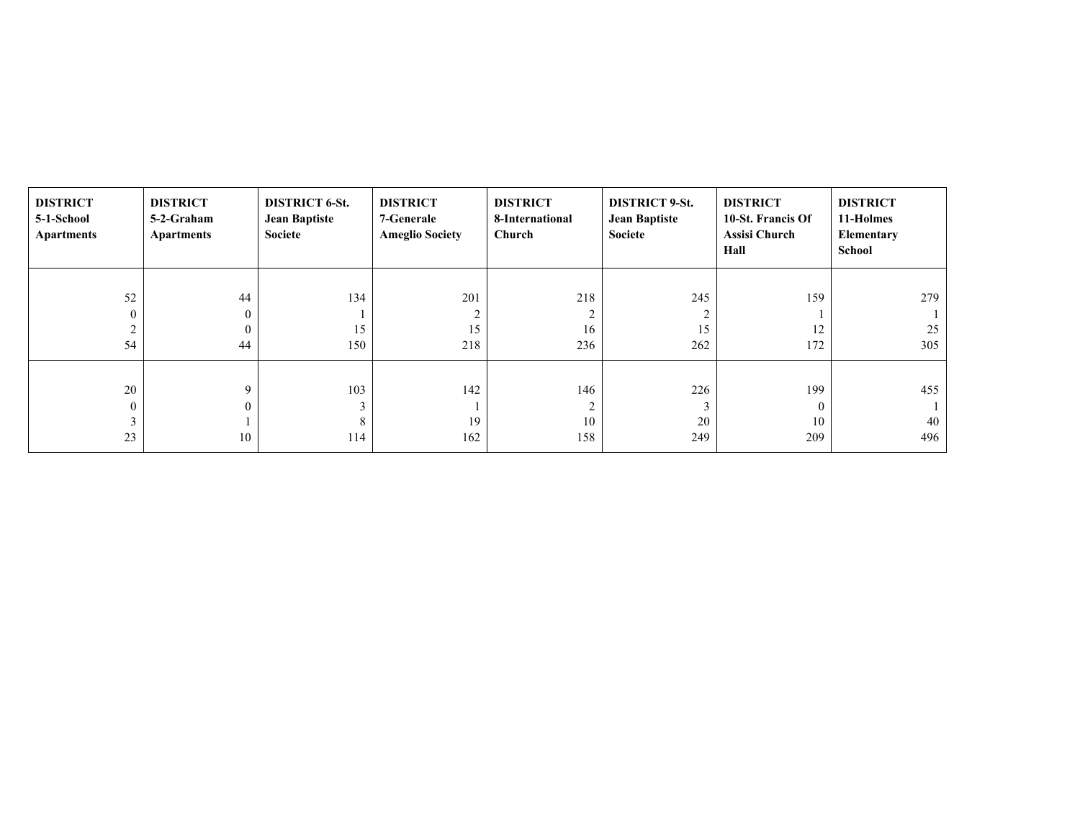| <b>DISTRICT</b><br>5-1-School<br><b>Apartments</b> | <b>DISTRICT</b><br>5-2-Graham<br><b>Apartments</b> | <b>DISTRICT 6-St.</b><br><b>Jean Baptiste</b><br>Societe | <b>DISTRICT</b><br>7-Generale<br><b>Ameglio Society</b> | <b>DISTRICT</b><br>8-International<br>Church | <b>DISTRICT 9-St.</b><br><b>Jean Baptiste</b><br>Societe | <b>DISTRICT</b><br>10-St. Francis Of<br><b>Assisi Church</b><br>Hall | <b>DISTRICT</b><br>11-Holmes<br>Elementary<br>School |
|----------------------------------------------------|----------------------------------------------------|----------------------------------------------------------|---------------------------------------------------------|----------------------------------------------|----------------------------------------------------------|----------------------------------------------------------------------|------------------------------------------------------|
|                                                    |                                                    |                                                          |                                                         |                                              |                                                          |                                                                      |                                                      |
| 52                                                 | 44                                                 | 134                                                      | 201                                                     | 218                                          | 245                                                      | 159                                                                  | 279                                                  |
| $\mathbf{0}$                                       | $\mathbf{0}$                                       |                                                          | $\overline{2}$                                          | 2                                            | $\sim$                                                   |                                                                      |                                                      |
| $\overline{2}$                                     | $\theta$                                           | 15                                                       | 15                                                      | 16                                           | 15                                                       | 12                                                                   | 25                                                   |
| 54                                                 | 44                                                 | 150                                                      | 218                                                     | 236                                          | 262                                                      | 172                                                                  | 305                                                  |
|                                                    |                                                    |                                                          |                                                         |                                              |                                                          |                                                                      |                                                      |
| 20                                                 | 9                                                  | 103                                                      | 142                                                     | 146                                          | 226                                                      | 199                                                                  | 455                                                  |
| $\boldsymbol{0}$                                   |                                                    |                                                          |                                                         | 2                                            | $\mathcal{L}$                                            | $\theta$                                                             |                                                      |
| 3                                                  |                                                    | 8                                                        | 19                                                      | 10                                           | 20                                                       | 10                                                                   | 40                                                   |
| 23                                                 | 10                                                 | 114                                                      | 162                                                     | 158                                          | 249                                                      | 209                                                                  | 496                                                  |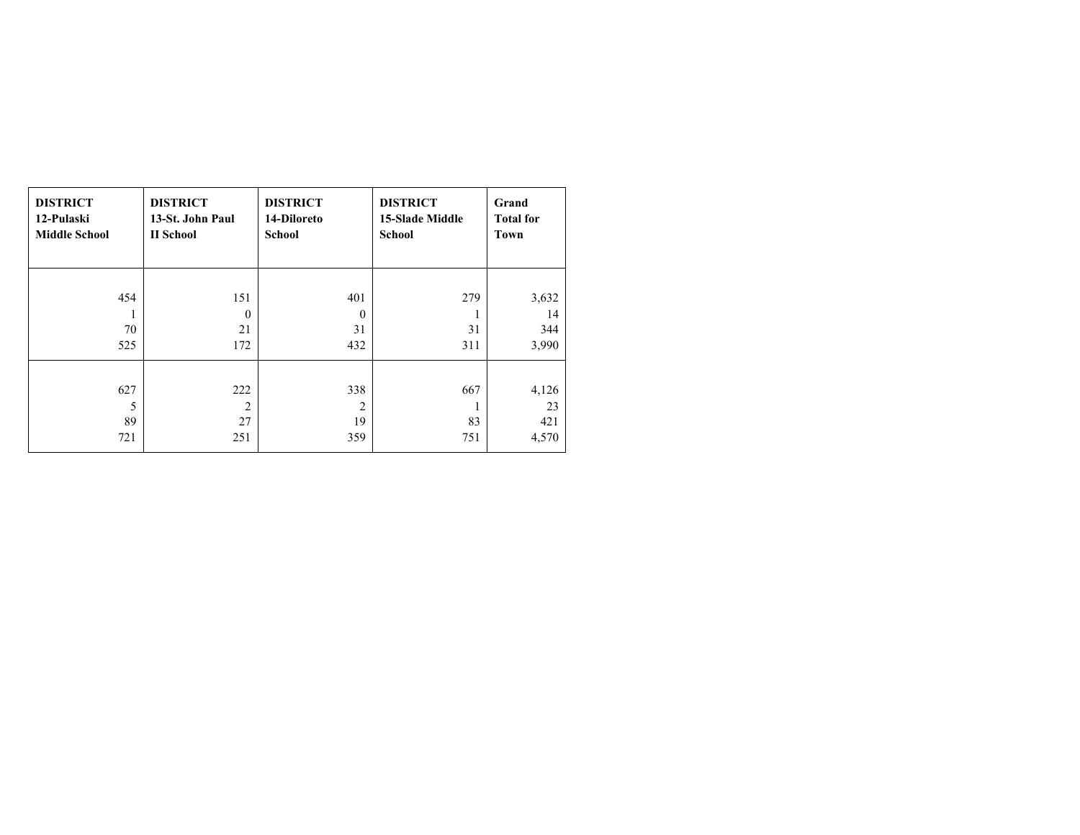| <b>DISTRICT</b>       | <b>DISTRICT</b>                    | <b>DISTRICT</b>                    | <b>DISTRICT</b>        | Grand                       |
|-----------------------|------------------------------------|------------------------------------|------------------------|-----------------------------|
| 12-Pulaski            | 13-St. John Paul                   | 14-Diloreto                        | <b>15-Slade Middle</b> | <b>Total for</b>            |
| <b>Middle School</b>  | <b>II</b> School                   | School                             | <b>School</b>          | Town                        |
| 454                   | 151                                | 401                                | 279                    | 3,632                       |
| ш                     | $\theta$                           | $\boldsymbol{0}$                   | 1                      | 14                          |
| 70                    | 21                                 | 31                                 | 31                     | 344                         |
| 525                   | 172                                | 432                                | 311                    | 3,990                       |
| 627<br>5<br>89<br>721 | 222<br>$\overline{2}$<br>27<br>251 | 338<br>$\overline{c}$<br>19<br>359 | 667<br>83<br>751       | 4,126<br>23<br>421<br>4,570 |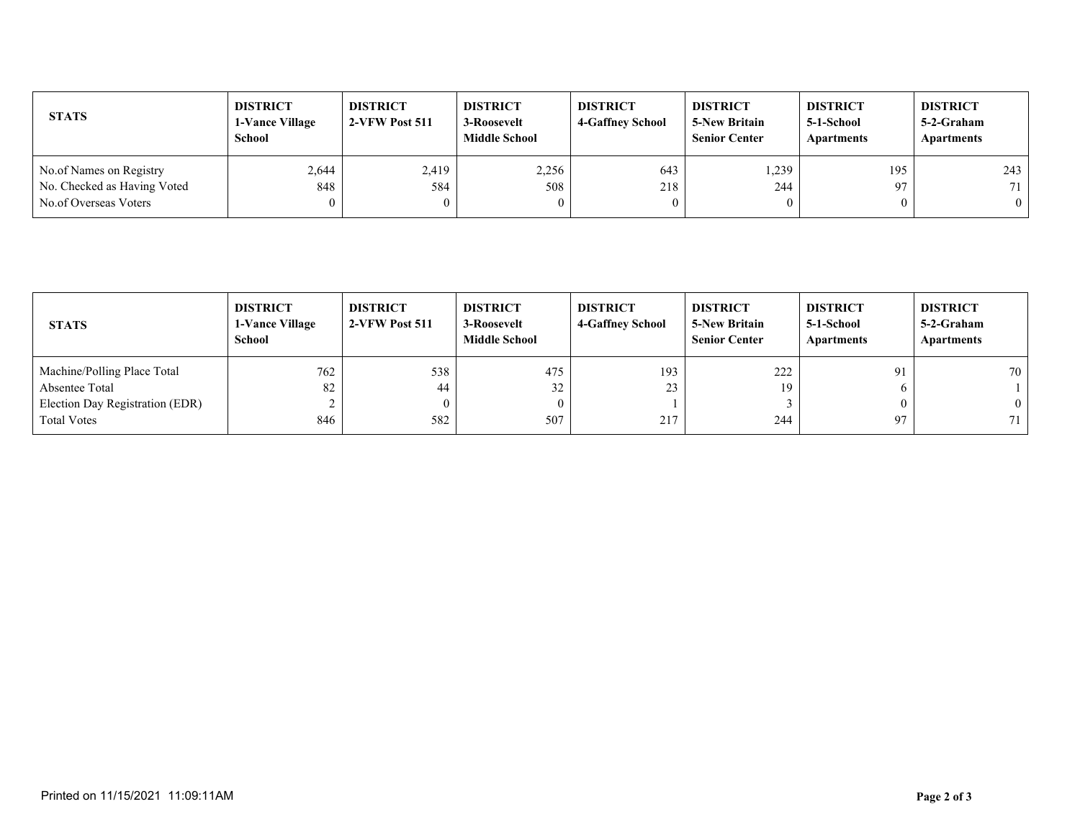| <b>STATS</b>                | <b>DISTRICT</b><br>1-Vance Village<br><b>School</b> | <b>DISTRICT</b><br>2-VFW Post 511 | <b>DISTRICT</b><br>3-Roosevelt<br><b>Middle School</b> | <b>DISTRICT</b><br><b>4-Gaffney School</b> | <b>DISTRICT</b><br><b>5-New Britain</b><br><b>Senior Center</b> | <b>DISTRICT</b><br>5-1-School<br>Apartments | <b>DISTRICT</b><br>5-2-Graham<br>Apartments |
|-----------------------------|-----------------------------------------------------|-----------------------------------|--------------------------------------------------------|--------------------------------------------|-----------------------------------------------------------------|---------------------------------------------|---------------------------------------------|
| No.of Names on Registry     | 2,644                                               | 2,419                             | 2,256                                                  | 643                                        | 1,239                                                           | 195                                         | 243                                         |
| No. Checked as Having Voted | 848                                                 | 584                               | 508                                                    | 218                                        | 244                                                             | 97                                          | 71                                          |
| No.of Overseas Voters       | $\theta$                                            |                                   |                                                        | $\mathbf{0}$                               |                                                                 | $\theta$                                    | $\theta$                                    |

| <b>STATS</b>                    | <b>DISTRICT</b><br><b>1-Vance Village</b><br><b>School</b> | <b>DISTRICT</b><br>2-VFW Post 511 | <b>DISTRICT</b><br>3-Roosevelt<br><b>Middle School</b> | <b>DISTRICT</b><br><b>4-Gaffney School</b> | <b>DISTRICT</b><br><b>5-New Britain</b><br><b>Senior Center</b> | <b>DISTRICT</b><br>5-1-School<br><b>Apartments</b> | <b>DISTRICT</b><br>5-2-Graham<br>Apartments |
|---------------------------------|------------------------------------------------------------|-----------------------------------|--------------------------------------------------------|--------------------------------------------|-----------------------------------------------------------------|----------------------------------------------------|---------------------------------------------|
| Machine/Polling Place Total     | 762                                                        | 538                               | 475                                                    | 193                                        | 222                                                             | 91                                                 | 70                                          |
| Absentee Total                  | 82                                                         | 44                                | 32                                                     | 23                                         | 19                                                              |                                                    |                                             |
| Election Day Registration (EDR) | ∼                                                          |                                   |                                                        |                                            |                                                                 |                                                    | $\theta$                                    |
| <b>Total Votes</b>              | 846                                                        | 582                               | 507                                                    | 217                                        | 244                                                             | 97                                                 | 71                                          |
|                                 |                                                            |                                   |                                                        |                                            |                                                                 |                                                    |                                             |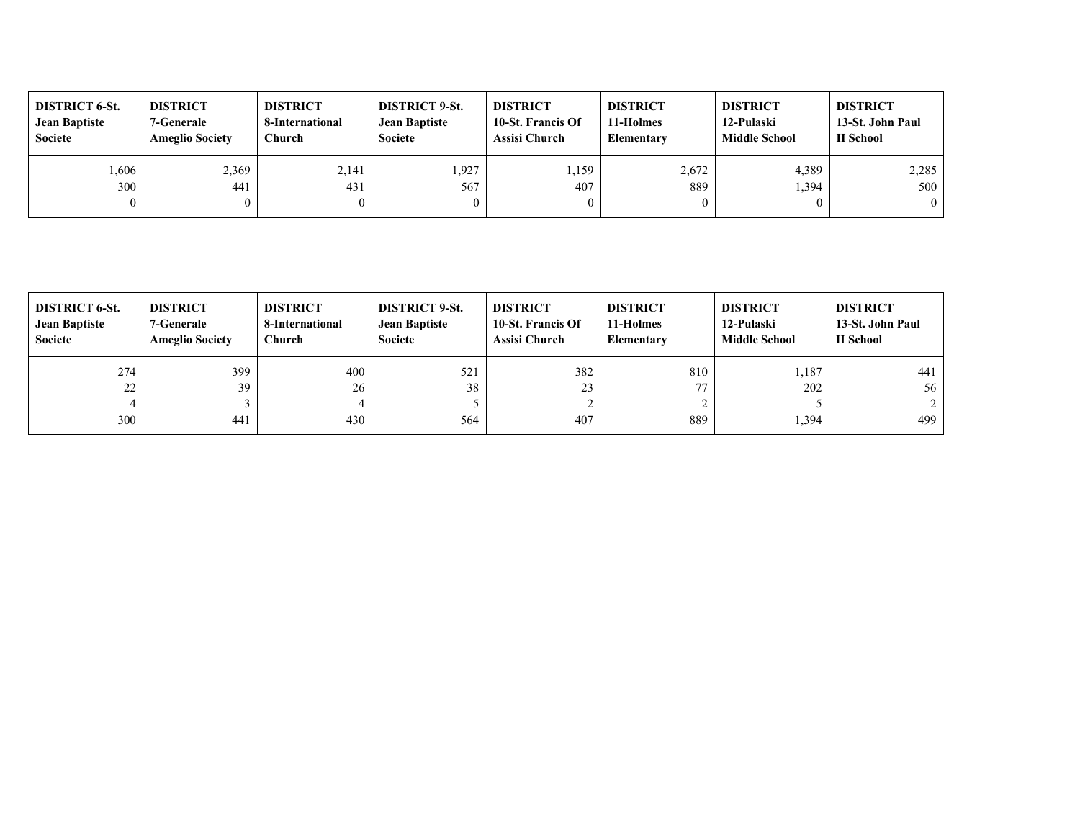| <b>DISTRICT 6-St.</b><br><b>Jean Baptiste</b><br>Societe | <b>DISTRICT</b><br><b>7-Generale</b><br><b>Ameglio Society</b> | <b>DISTRICT</b><br>8-International<br>Church | <b>DISTRICT 9-St.</b><br><b>Jean Baptiste</b><br>Societe | <b>DISTRICT</b><br>10-St. Francis Of<br><b>Assisi Church</b> | <b>DISTRICT</b><br>11-Holmes<br><b>Elementary</b> | <b>DISTRICT</b><br>12-Pulaski<br><b>Middle School</b> | <b>DISTRICT</b><br>13-St. John Paul<br>II School |
|----------------------------------------------------------|----------------------------------------------------------------|----------------------------------------------|----------------------------------------------------------|--------------------------------------------------------------|---------------------------------------------------|-------------------------------------------------------|--------------------------------------------------|
| .,606                                                    | 2,369                                                          | 2,141                                        | 1,927                                                    | ,159                                                         | 2,672                                             | 4,389                                                 | 2,285                                            |
| 300                                                      | 441                                                            | 431                                          | 567                                                      | 407                                                          | 889                                               | 394,                                                  | 500                                              |
| $\mathbf{0}$                                             |                                                                |                                              | $\boldsymbol{0}$                                         |                                                              |                                                   |                                                       | $\theta$                                         |

| <b>DISTRICT 6-St.</b><br><b>Jean Baptiste</b><br>Societe | <b>DISTRICT</b><br>7-Generale<br><b>Ameglio Society</b> | <b>DISTRICT</b><br>8-International<br>Church | <b>DISTRICT 9-St.</b><br><b>Jean Baptiste</b><br>Societe | <b>DISTRICT</b><br>10-St. Francis Of<br>Assisi Church | <b>DISTRICT</b><br>11-Holmes<br><b>Elementary</b> | <b>DISTRICT</b><br>12-Pulaski<br><b>Middle School</b> | <b>DISTRICT</b><br>13-St. John Paul<br>II School |
|----------------------------------------------------------|---------------------------------------------------------|----------------------------------------------|----------------------------------------------------------|-------------------------------------------------------|---------------------------------------------------|-------------------------------------------------------|--------------------------------------------------|
| 274                                                      | 399                                                     | 400                                          | 521                                                      | 382                                                   | 810                                               | 1,187                                                 | 441                                              |
| 22                                                       | 39                                                      | 26                                           | 38                                                       | 23                                                    | 77                                                | 202                                                   | 56                                               |
| 4                                                        |                                                         |                                              |                                                          |                                                       |                                                   |                                                       | 2                                                |
| 300                                                      | 441                                                     | 430                                          | 564                                                      | 407                                                   | 889                                               | 1,394                                                 | 499                                              |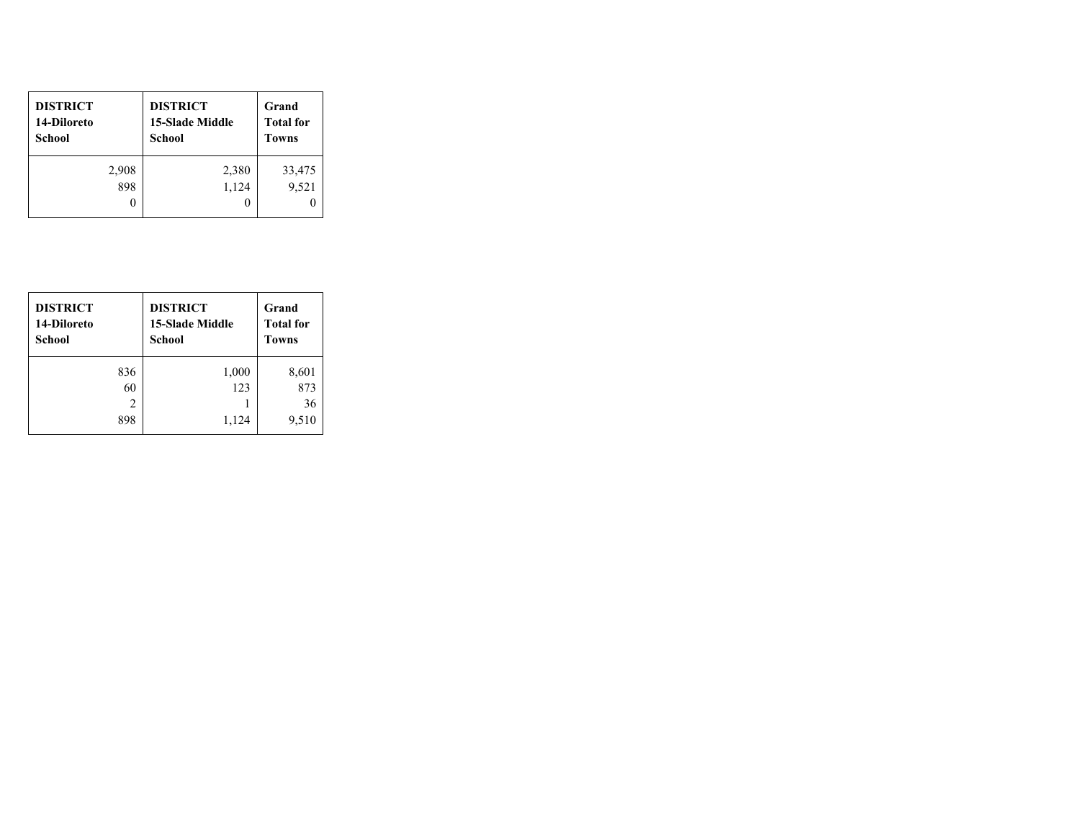| <b>DISTRICT</b><br>14-Diloreto<br>School | <b>DISTRICT</b><br><b>15-Slade Middle</b><br><b>School</b> | Grand<br><b>Total for</b><br><b>Towns</b> |
|------------------------------------------|------------------------------------------------------------|-------------------------------------------|
| 2,908                                    | 2,380                                                      | 33,475                                    |
| 898                                      | 1,124                                                      | 9,521                                     |
|                                          |                                                            |                                           |

| <b>DISTRICT</b><br>14-Diloreto<br>School | <b>DISTRICT</b><br><b>15-Slade Middle</b><br>School | Grand<br><b>Total for</b><br><b>Towns</b> |
|------------------------------------------|-----------------------------------------------------|-------------------------------------------|
| 836                                      | 1,000                                               | 8,601                                     |
| 60                                       | 123                                                 | 873                                       |
| 2                                        |                                                     | 36                                        |
| 898                                      | 1,124                                               | 9,510                                     |